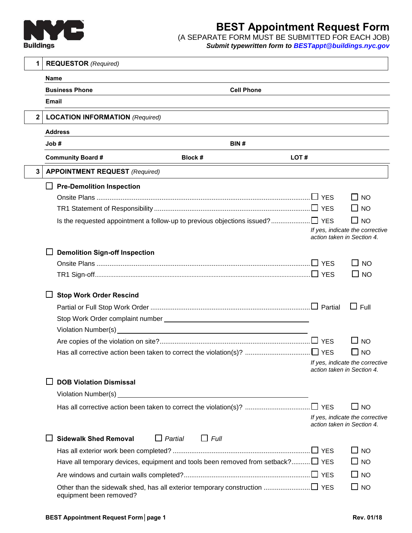

## **BEST Appointment Request Form**

(A SEPARATE FORM MUST BE SUBMITTED FOR EACH JOB) *Submit typewritten form to [BESTappt@buildings.nyc.gov](mailto:BESTappt@buildings.nyc.gov)*

| 1            | <b>REQUESTOR</b> (Required)                                                                                                                  |                            |                                 |
|--------------|----------------------------------------------------------------------------------------------------------------------------------------------|----------------------------|---------------------------------|
|              | <b>Name</b>                                                                                                                                  |                            |                                 |
|              | <b>Cell Phone</b><br><b>Business Phone</b>                                                                                                   |                            |                                 |
|              | <b>Email</b>                                                                                                                                 |                            |                                 |
| $\mathbf{2}$ | <b>LOCATION INFORMATION (Required)</b>                                                                                                       |                            |                                 |
|              | <b>Address</b>                                                                                                                               |                            |                                 |
|              | Job#<br>BIN#                                                                                                                                 |                            |                                 |
|              | <b>Community Board #</b><br>Block #                                                                                                          | LOT#                       |                                 |
| 3            | <b>APPOINTMENT REQUEST (Required)</b>                                                                                                        |                            |                                 |
|              | <b>Pre-Demolition Inspection</b><br>ப                                                                                                        |                            |                                 |
|              |                                                                                                                                              |                            | $\Box$ No                       |
|              |                                                                                                                                              |                            | $\Box$ NO                       |
|              |                                                                                                                                              |                            | $\Box$ NO                       |
|              |                                                                                                                                              | action taken in Section 4. | If yes, indicate the corrective |
|              | <b>Demolition Sign-off Inspection</b>                                                                                                        |                            |                                 |
|              |                                                                                                                                              |                            | $\square$ No                    |
|              |                                                                                                                                              |                            | $\square$ NO                    |
|              |                                                                                                                                              |                            |                                 |
|              | <b>Stop Work Order Rescind</b>                                                                                                               |                            |                                 |
|              |                                                                                                                                              |                            | $\sqcup$ Full                   |
|              |                                                                                                                                              |                            |                                 |
|              | Violation Number(s)<br><u> 1989 - Johann Stoff, deutscher Stoff, der Stoff, der Stoff, der Stoff, der Stoff, der Stoff, der Stoff, der S</u> |                            |                                 |
|              |                                                                                                                                              |                            | $\square$ NO                    |
|              |                                                                                                                                              |                            | $\square$ NO                    |
|              |                                                                                                                                              | action taken in Section 4. | If yes, indicate the corrective |
|              | <b>DOB Violation Dismissal</b>                                                                                                               |                            |                                 |
|              | Violation Number(s) _<br><u> 1989 - Jan Sterling von Berger von Berger von Berger von Berger von Berger von Berger von Berger von Berger</u> |                            |                                 |
|              |                                                                                                                                              |                            | $\Box$ NO                       |
|              |                                                                                                                                              | action taken in Section 4. | If yes, indicate the corrective |
|              | <b>Sidewalk Shed Removal</b><br>$\Box$ Partial<br>$\Box$ Full                                                                                |                            |                                 |
|              |                                                                                                                                              |                            | $\Box$ NO                       |
|              | Have all temporary devices, equipment and tools been removed from setback? $\square$ YES                                                     |                            | $\Box$ No                       |
|              |                                                                                                                                              |                            | $\Box$ NO                       |
|              | Other than the sidewalk shed, has all exterior temporary construction □ YES                                                                  |                            | $\square$ NO                    |
|              | equipment been removed?                                                                                                                      |                            |                                 |